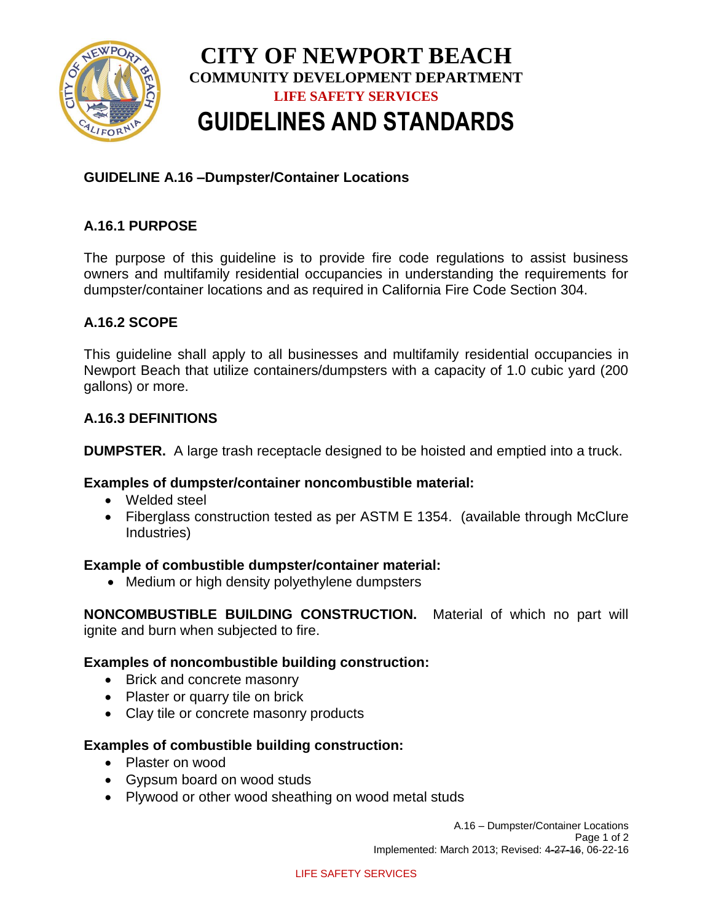

# **CITY OF NEWPORT BEACH COMMUNITY DEVELOPMENT DEPARTMENT LIFE SAFETY SERVICES GUIDELINES AND STANDARDS**

## **GUIDELINE A.16 –Dumpster/Container Locations**

## **A.16.1 PURPOSE**

The purpose of this guideline is to provide fire code regulations to assist business owners and multifamily residential occupancies in understanding the requirements for dumpster/container locations and as required in California Fire Code Section 304.

### **A.16.2 SCOPE**

This guideline shall apply to all businesses and multifamily residential occupancies in Newport Beach that utilize containers/dumpsters with a capacity of 1.0 cubic yard (200 gallons) or more.

### **A.16.3 DEFINITIONS**

**DUMPSTER.** A large trash receptacle designed to be hoisted and emptied into a truck.

### **Examples of dumpster/container noncombustible material:**

- Welded steel
- Fiberglass construction tested as per ASTM E 1354. (available through McClure Industries)

### **Example of combustible dumpster/container material:**

• Medium or high density polyethylene dumpsters

**NONCOMBUSTIBLE BUILDING CONSTRUCTION.** Material of which no part will ignite and burn when subjected to fire.

### **Examples of noncombustible building construction:**

- Brick and concrete masonry
- Plaster or quarry tile on brick
- Clay tile or concrete masonry products

### **Examples of combustible building construction:**

- Plaster on wood
- Gypsum board on wood studs
- Plywood or other wood sheathing on wood metal studs